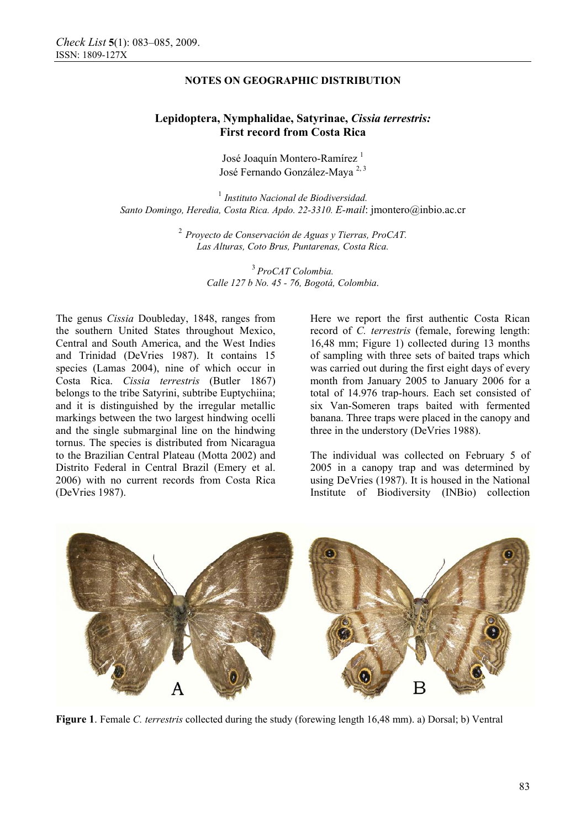## **NOTES ON GEOGRAPHIC DISTRIBUTION**

# **Lepidoptera, Nymphalidae, Satyrinae,** *Cissia terrestris:*  **First record from Costa Rica**

José Joaquín Montero-Ramírez<sup>1</sup> José Fernando González-Maya<sup>2,3</sup>

<sup>1</sup> *Instituto Nacional de Biodiversidad. Santo Domingo, Heredia, Costa Rica. Apdo. 22-3310. E-mail*: jmontero@inbio.ac.cr

> <sup>2</sup>*Proyecto de Conservación de Aguas y Tierras, ProCAT. Las Alturas, Coto Brus, Puntarenas, Costa Rica.*

> > <sup>3</sup>*ProCAT Colombia. Calle 127 b No. 45 - 76, Bogotá, Colombia*.

The genus *Cissia* Doubleday, 1848, ranges from the southern United States throughout Mexico, Central and South America, and the West Indies and Trinidad (DeVries 1987). It contains 15 species (Lamas 2004), nine of which occur in Costa Rica. *Cissia terrestris* (Butler 1867) belongs to the tribe Satyrini, subtribe Euptychiina; and it is distinguished by the irregular metallic markings between the two largest hindwing ocelli and the single submarginal line on the hindwing tornus. The species is distributed from Nicaragua to the Brazilian Central Plateau (Motta 2002) and Distrito Federal in Central Brazil (Emery et al. 2006) with no current records from Costa Rica (DeVries 1987).

Here we report the first authentic Costa Rican record of *C. terrestris* (female, forewing length: 16,48 mm; Figure 1) collected during 13 months of sampling with three sets of baited traps which was carried out during the first eight days of every month from January 2005 to January 2006 for a total of 14.976 trap-hours. Each set consisted of six Van-Someren traps baited with fermented banana. Three traps were placed in the canopy and three in the understory (DeVries 1988).

The individual was collected on February 5 of 2005 in a canopy trap and was determined by using DeVries (1987). It is housed in the National Institute of Biodiversity (INBio) collection



**Figure 1**. Female *C. terrestris* collected during the study (forewing length 16,48 mm). a) Dorsal; b) Ventral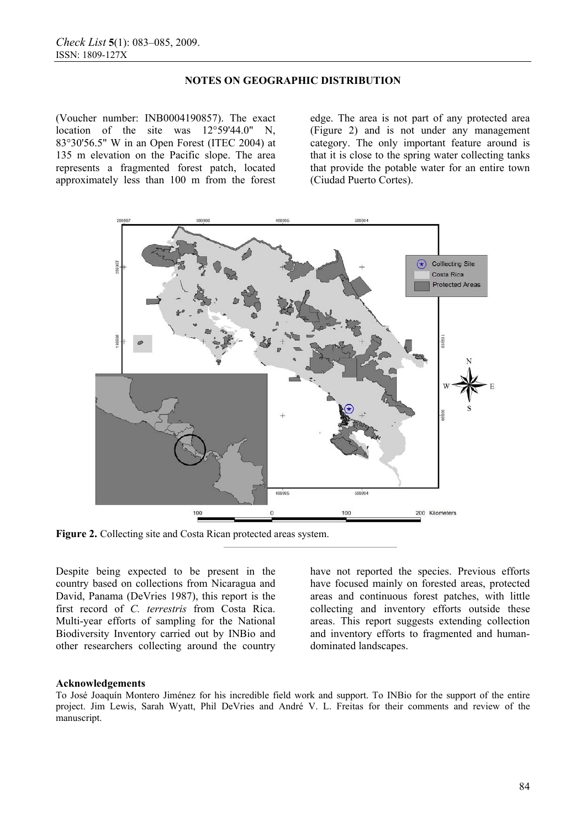## **NOTES ON GEOGRAPHIC DISTRIBUTION**

(Voucher number: INB0004190857). The exact location of the site was 12°59'44.0" N, 83°30'56.5" W in an Open Forest (ITEC 2004) at 135 m elevation on the Pacific slope. The area represents a fragmented forest patch, located approximately less than 100 m from the forest

edge. The area is not part of any protected area (Figure 2) and is not under any management category. The only important feature around is that it is close to the spring water collecting tanks that provide the potable water for an entire town (Ciudad Puerto Cortes).



**Figure 2.** Collecting site and Costa Rican protected areas system.

Despite being expected to be present in the country based on collections from Nicaragua and David, Panama (DeVries 1987), this report is the first record of *C. terrestris* from Costa Rica. Multi-year efforts of sampling for the National Biodiversity Inventory carried out by INBio and other researchers collecting around the country have not reported the species. Previous efforts have focused mainly on forested areas, protected areas and continuous forest patches, with little collecting and inventory efforts outside these areas. This report suggests extending collection and inventory efforts to fragmented and humandominated landscapes.

## **Acknowledgements**

To José Joaquín Montero Jiménez for his incredible field work and support. To INBio for the support of the entire project. Jim Lewis, Sarah Wyatt, Phil DeVries and André V. L. Freitas for their comments and review of the manuscript.

**————————————————**